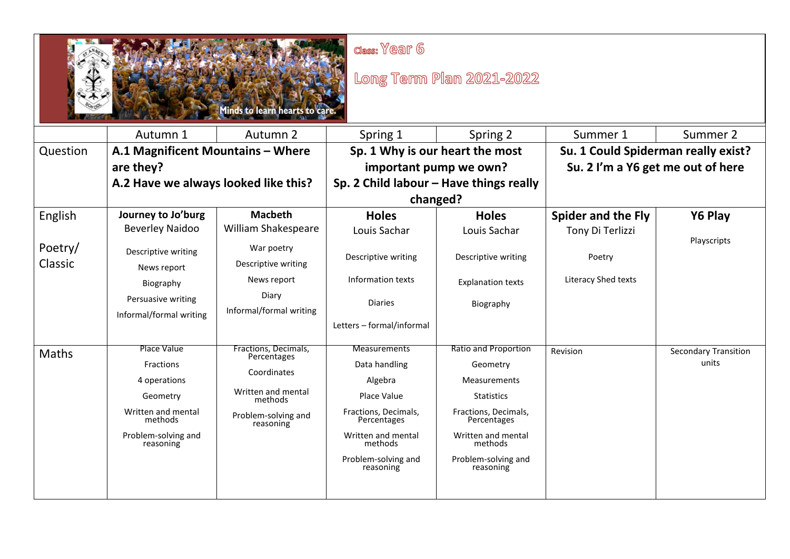| $class: \sqrt{}ear 6$<br>Long Term Plan 2021-2022<br><b>inds to learn hearts to care</b> |                                                                                                                                  |                                                                                                                         |                                                                                                                                                                            |                                                                                                                                                                                                 |                                     |                                      |  |
|------------------------------------------------------------------------------------------|----------------------------------------------------------------------------------------------------------------------------------|-------------------------------------------------------------------------------------------------------------------------|----------------------------------------------------------------------------------------------------------------------------------------------------------------------------|-------------------------------------------------------------------------------------------------------------------------------------------------------------------------------------------------|-------------------------------------|--------------------------------------|--|
|                                                                                          | Autumn 1                                                                                                                         | Autumn 2                                                                                                                | Spring 1                                                                                                                                                                   | Spring 2                                                                                                                                                                                        | Summer 1                            | Summer 2                             |  |
| Question                                                                                 | A.1 Magnificent Mountains - Where                                                                                                |                                                                                                                         | Sp. 1 Why is our heart the most                                                                                                                                            |                                                                                                                                                                                                 | Su. 1 Could Spiderman really exist? |                                      |  |
|                                                                                          | are they?                                                                                                                        |                                                                                                                         | important pump we own?<br>Sp. 2 Child labour - Have things really                                                                                                          |                                                                                                                                                                                                 | Su. 2 I'm a Y6 get me out of here   |                                      |  |
|                                                                                          | A.2 Have we always looked like this?                                                                                             |                                                                                                                         |                                                                                                                                                                            |                                                                                                                                                                                                 |                                     |                                      |  |
|                                                                                          |                                                                                                                                  |                                                                                                                         | changed?                                                                                                                                                                   |                                                                                                                                                                                                 |                                     |                                      |  |
| English                                                                                  | Journey to Jo'burg                                                                                                               | <b>Macbeth</b>                                                                                                          | <b>Holes</b>                                                                                                                                                               | <b>Holes</b>                                                                                                                                                                                    | <b>Spider and the Fly</b>           | Y6 Play                              |  |
|                                                                                          | <b>Beverley Naidoo</b>                                                                                                           | William Shakespeare                                                                                                     | Louis Sachar                                                                                                                                                               | Louis Sachar                                                                                                                                                                                    | Tony Di Terlizzi                    |                                      |  |
| Poetry/<br>Classic                                                                       | Descriptive writing<br>News report                                                                                               | War poetry<br>Descriptive writing                                                                                       | Descriptive writing                                                                                                                                                        | Descriptive writing                                                                                                                                                                             | Poetry                              | Playscripts                          |  |
|                                                                                          | Biography                                                                                                                        | News report                                                                                                             | Information texts                                                                                                                                                          | <b>Explanation texts</b>                                                                                                                                                                        | Literacy Shed texts                 |                                      |  |
|                                                                                          | Persuasive writing<br>Informal/formal writing                                                                                    | Diary<br>Informal/formal writing                                                                                        | <b>Diaries</b>                                                                                                                                                             | Biography                                                                                                                                                                                       |                                     |                                      |  |
|                                                                                          |                                                                                                                                  |                                                                                                                         | Letters - formal/informal                                                                                                                                                  |                                                                                                                                                                                                 |                                     |                                      |  |
| <b>Maths</b>                                                                             | Place Value<br><b>Fractions</b><br>4 operations<br>Geometry<br>Written and mental<br>methods<br>Problem-solving and<br>reasoning | Fractions, Decimals,<br>Percentages<br>Coordinates<br>Written and mental<br>methods<br>Problem-solving and<br>reasoning | <b>Measurements</b><br>Data handling<br>Algebra<br>Place Value<br>Fractions, Decimals,<br>Percentages<br>Written and mental<br>methods<br>Problem-solving and<br>reasoning | <b>Ratio and Proportion</b><br>Geometry<br><b>Measurements</b><br><b>Statistics</b><br>Fractions, Decimals,<br>Percentages<br>Written and mental<br>methods<br>Problem-solving and<br>reasoning | Revision                            | <b>Secondary Transition</b><br>units |  |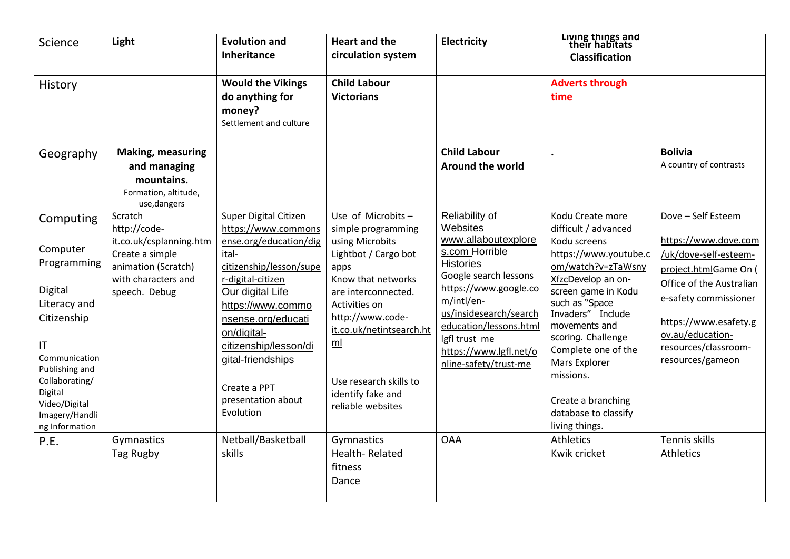| Science                                                                                                                                                                                                                       | Light                                                                                                                                | <b>Evolution and</b><br>Inheritance                                                                                                                                                                                                                                                                            | <b>Heart and the</b><br>circulation system                                                                                                                                                                                                                                                     | Electricity                                                                                                                                                                                                                                                                     | Living things and<br>their habitats<br><b>Classification</b>                                                                                                                                                                                                                                                                                            |                                                                                                                                                                                                                                            |
|-------------------------------------------------------------------------------------------------------------------------------------------------------------------------------------------------------------------------------|--------------------------------------------------------------------------------------------------------------------------------------|----------------------------------------------------------------------------------------------------------------------------------------------------------------------------------------------------------------------------------------------------------------------------------------------------------------|------------------------------------------------------------------------------------------------------------------------------------------------------------------------------------------------------------------------------------------------------------------------------------------------|---------------------------------------------------------------------------------------------------------------------------------------------------------------------------------------------------------------------------------------------------------------------------------|---------------------------------------------------------------------------------------------------------------------------------------------------------------------------------------------------------------------------------------------------------------------------------------------------------------------------------------------------------|--------------------------------------------------------------------------------------------------------------------------------------------------------------------------------------------------------------------------------------------|
| History                                                                                                                                                                                                                       |                                                                                                                                      | <b>Would the Vikings</b><br>do anything for<br>money?<br>Settlement and culture                                                                                                                                                                                                                                | <b>Child Labour</b><br><b>Victorians</b>                                                                                                                                                                                                                                                       |                                                                                                                                                                                                                                                                                 | <b>Adverts through</b><br>time                                                                                                                                                                                                                                                                                                                          |                                                                                                                                                                                                                                            |
| Geography                                                                                                                                                                                                                     | <b>Making, measuring</b><br>and managing<br>mountains.<br>Formation, altitude,<br>use, dangers                                       |                                                                                                                                                                                                                                                                                                                |                                                                                                                                                                                                                                                                                                | <b>Child Labour</b><br><b>Around the world</b>                                                                                                                                                                                                                                  |                                                                                                                                                                                                                                                                                                                                                         | <b>Bolivia</b><br>A country of contrasts                                                                                                                                                                                                   |
| Computing<br>Computer<br>Programming<br>Digital<br>Literacy and<br>Citizenship<br>$\mathsf{I}\mathsf{T}$<br>Communication<br>Publishing and<br>Collaborating/<br>Digital<br>Video/Digital<br>Imagery/Handli<br>ng Information | Scratch<br>http://code-<br>it.co.uk/csplanning.htm<br>Create a simple<br>animation (Scratch)<br>with characters and<br>speech. Debug | Super Digital Citizen<br>https://www.commons<br>ense.org/education/dig<br>ital-<br>citizenship/lesson/supe<br>r-digital-citizen<br>Our digital Life<br>https://www.commo<br>nsense.org/educati<br>on/digital-<br>citizenship/lesson/di<br>gital-friendships<br>Create a PPT<br>presentation about<br>Evolution | Use of Microbits-<br>simple programming<br>using Microbits<br>Lightbot / Cargo bot<br>apps<br>Know that networks<br>are interconnected.<br>Activities on<br>http://www.code-<br>it.co.uk/netintsearch.ht<br>m <sub>l</sub><br>Use research skills to<br>identify fake and<br>reliable websites | Reliability of<br>Websites<br>www.allaboutexplore<br>s.com Horrible<br><b>Histories</b><br>Google search lessons<br>https://www.google.co<br>m/intl/en-<br>us/insidesearch/search<br>education/lessons.html<br>lgfl trust me<br>https://www.lgfl.net/o<br>nline-safety/trust-me | Kodu Create more<br>difficult / advanced<br>Kodu screens<br>https://www.youtube.c<br>om/watch?v=zTaWsny<br>XfzcDevelop an on-<br>screen game in Kodu<br>such as "Space<br>Invaders" Include<br>movements and<br>scoring. Challenge<br>Complete one of the<br>Mars Explorer<br>missions.<br>Create a branching<br>database to classify<br>living things. | Dove - Self Esteem<br>https://www.dove.com<br>/uk/dove-self-esteem-<br>project.htmlGame On (<br>Office of the Australian<br>e-safety commissioner<br>https://www.esafety.g<br>ov.au/education-<br>resources/classroom-<br>resources/gameon |
| P.E.                                                                                                                                                                                                                          | Gymnastics<br>Tag Rugby                                                                                                              | Netball/Basketball<br>skills                                                                                                                                                                                                                                                                                   | Gymnastics<br>Health-Related<br>fitness<br>Dance                                                                                                                                                                                                                                               | <b>OAA</b>                                                                                                                                                                                                                                                                      | <b>Athletics</b><br>Kwik cricket                                                                                                                                                                                                                                                                                                                        | Tennis skills<br>Athletics                                                                                                                                                                                                                 |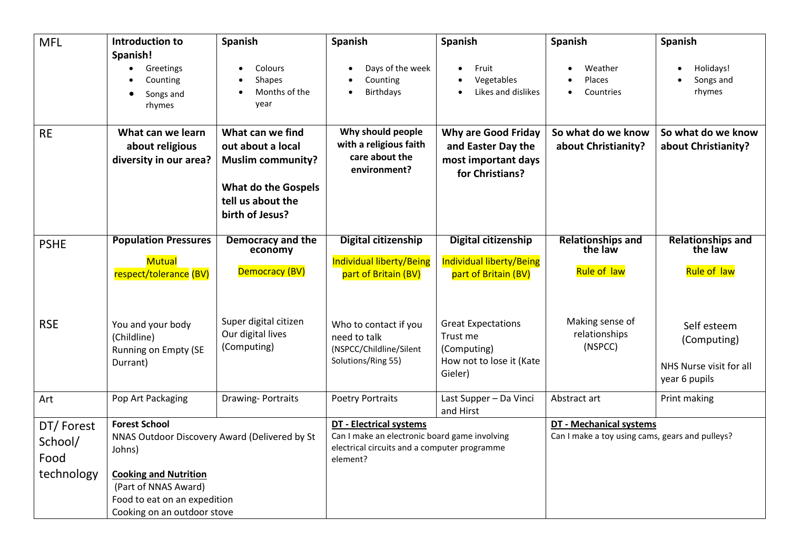| <b>MFL</b>                                 | Introduction to                                                                                                                                                                                        | Spanish                                                                                                                                 | Spanish                                                                                                                                     | Spanish                                                                                     | Spanish                                                                    | Spanish                                                                |
|--------------------------------------------|--------------------------------------------------------------------------------------------------------------------------------------------------------------------------------------------------------|-----------------------------------------------------------------------------------------------------------------------------------------|---------------------------------------------------------------------------------------------------------------------------------------------|---------------------------------------------------------------------------------------------|----------------------------------------------------------------------------|------------------------------------------------------------------------|
|                                            | Spanish!<br>Greetings<br>Counting<br>Songs and<br>rhymes                                                                                                                                               | Colours<br>$\bullet$<br><b>Shapes</b><br>Months of the<br>year                                                                          | Days of the week<br>Counting<br><b>Birthdays</b>                                                                                            | Fruit<br>Vegetables<br>Likes and dislikes                                                   | Weather<br>Places<br>Countries                                             | Holidays!<br>Songs and<br>rhymes                                       |
| <b>RE</b>                                  | What can we learn<br>about religious<br>diversity in our area?                                                                                                                                         | What can we find<br>out about a local<br><b>Muslim community?</b><br><b>What do the Gospels</b><br>tell us about the<br>birth of Jesus? | Why should people<br>with a religious faith<br>care about the<br>environment?                                                               | <b>Why are Good Friday</b><br>and Easter Day the<br>most important days<br>for Christians?  | So what do we know<br>about Christianity?                                  | So what do we know<br>about Christianity?                              |
| <b>PSHE</b>                                | <b>Population Pressures</b>                                                                                                                                                                            | Democracy and the<br>economy                                                                                                            | <b>Digital citizenship</b>                                                                                                                  | <b>Digital citizenship</b>                                                                  | <b>Relationships and</b><br>the law                                        | <b>Relationships and</b><br>the law                                    |
|                                            | <b>Mutual</b><br>respect/tolerance (BV)                                                                                                                                                                | Democracy (BV)                                                                                                                          | <b>Individual liberty/Being</b><br>part of Britain (BV)                                                                                     | <b>Individual liberty/Being</b><br>part of Britain (BV)                                     | Rule of law                                                                | Rule of law                                                            |
| <b>RSE</b>                                 | You and your body<br>(Childline)<br>Running on Empty (SE<br>Durrant)                                                                                                                                   | Super digital citizen<br>Our digital lives<br>(Computing)                                                                               | Who to contact if you<br>need to talk<br>(NSPCC/Childline/Silent<br>Solutions/Ring 55)                                                      | <b>Great Expectations</b><br>Trust me<br>(Computing)<br>How not to lose it (Kate<br>Gieler) | Making sense of<br>relationships<br>(NSPCC)                                | Self esteem<br>(Computing)<br>NHS Nurse visit for all<br>year 6 pupils |
| Art                                        | Pop Art Packaging                                                                                                                                                                                      | <b>Drawing-Portraits</b>                                                                                                                | <b>Poetry Portraits</b>                                                                                                                     | Last Supper - Da Vinci<br>and Hirst                                                         | Abstract art                                                               | Print making                                                           |
| DT/Forest<br>School/<br>Food<br>technology | <b>Forest School</b><br>NNAS Outdoor Discovery Award (Delivered by St<br>Johns)<br><b>Cooking and Nutrition</b><br>(Part of NNAS Award)<br>Food to eat on an expedition<br>Cooking on an outdoor stove |                                                                                                                                         | <b>DT</b> - Electrical systems<br>Can I make an electronic board game involving<br>electrical circuits and a computer programme<br>element? |                                                                                             | DT - Mechanical systems<br>Can I make a toy using cams, gears and pulleys? |                                                                        |